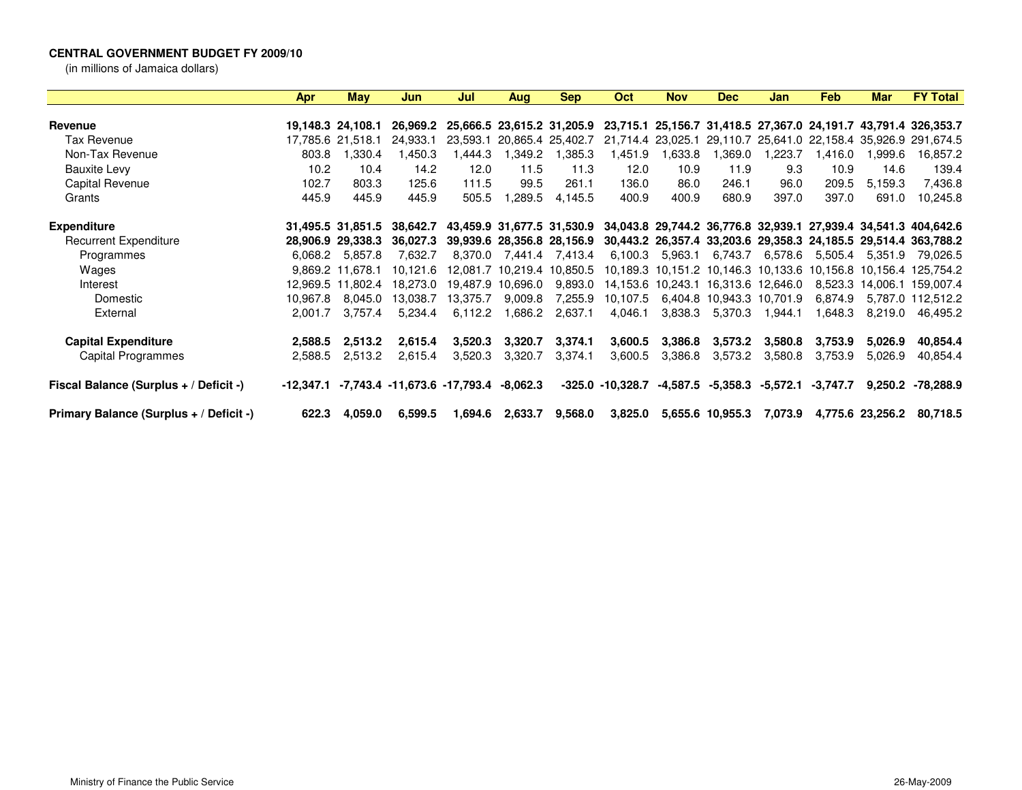## **CENTRAL GOVERNMENT BUDGET FY 2009/10**

(in millions of Jamaica dollars)

|                                         | Apr      | May               | Jun.                                                      | Jul      | Aug      | <b>Sep</b>                 | Oct                 | <b>Nov</b> | Dec                                 | Jan      | <b>Feb</b> | <b>Mar</b>                                            | <b>FY Total</b>                                                                            |
|-----------------------------------------|----------|-------------------|-----------------------------------------------------------|----------|----------|----------------------------|---------------------|------------|-------------------------------------|----------|------------|-------------------------------------------------------|--------------------------------------------------------------------------------------------|
|                                         |          |                   |                                                           |          |          |                            |                     |            |                                     |          |            |                                                       |                                                                                            |
| Revenue                                 |          | 19.148.3 24.108.1 | 26.969.2                                                  |          |          | 25,666.5 23,615.2 31,205.9 |                     |            |                                     |          |            |                                                       | 23,715.1 25,156.7 31,418.5 27,367.0 24,191.7 43,791.4 326,353.7                            |
| Tax Revenue                             |          | 17,785.6 21,518.1 | 24.933.1                                                  | 23.593.1 |          | 20,865.4 25,402.7          |                     |            |                                     |          |            | 21,714.4 23,025.1 29,110.7 25,641.0 22,158.4 35,926.9 | 291,674.5                                                                                  |
| Non-Tax Revenue                         | 803.8    | 1,330.4           | 1.450.3                                                   | ,444.3   | 1,349.2  | 1,385.3                    | 1,451.9             | 1,633.8    | .369.0                              | 1,223.7  | 1,416.0    | 1,999.6                                               | 16,857.2                                                                                   |
| <b>Bauxite Levy</b>                     | 10.2     | 10.4              | 14.2                                                      | 12.0     | 11.5     | 11.3                       | 12.0                | 10.9       | 11.9                                | 9.3      | 10.9       | 14.6                                                  | 139.4                                                                                      |
| Capital Revenue                         | 102.7    | 803.3             | 125.6                                                     | 111.5    | 99.5     | 261.1                      | 136.0               | 86.0       | 246.1                               | 96.0     | 209.5      | 5.159.3                                               | 7,436.8                                                                                    |
| Grants                                  | 445.9    | 445.9             | 445.9                                                     | 505.5    | 1,289.5  | 4,145.5                    | 400.9               | 400.9      | 680.9                               | 397.0    | 397.0      | 691.0                                                 | 10,245.8                                                                                   |
| <b>Expenditure</b>                      |          | 31.495.5 31.851.5 | 38.642.7                                                  |          |          |                            |                     |            |                                     |          |            |                                                       | 43,459.9 31,677.5 31,530.9 34,043.8 29,744.2 36,776.8 32,939.1 27,939.4 34,541.3 404,642.6 |
| <b>Recurrent Expenditure</b>            |          | 28,906.9 29,338.3 | 36.027.3                                                  |          |          |                            |                     |            |                                     |          |            |                                                       | 39,939.6 28,356.8 28,156.9 30,443.2 26,357.4 33,203.6 29,358.3 24,185.5 29,514.4 363,788.2 |
| Programmes                              | 6,068.2  | 5,857.8           | 7,632.7                                                   | 8,370.0  |          | 7,441.4 7,413.4            | 6.100.3             | 5,963.1    | 6,743.7                             | 6,578.6  | 5,505.4    | 5.351.9                                               | 79,026.5                                                                                   |
| Wages                                   |          | 9.869.2 11.678.1  | 10.121.6                                                  | 12.081.7 |          | 10,219.4 10,850.5          |                     |            |                                     |          |            |                                                       | 10,189.3 10,151.2 10,146.3 10,133.6 10,156.8 10,156.4 125,754.2                            |
| Interest                                |          | 12.969.5 11.802.4 | 18.273.0                                                  | 19.487.9 | 10,696.0 | 9,893.0                    |                     |            | 14,153.6 10,243.1 16,313.6 12,646.0 |          |            |                                                       | 8,523.3 14,006.1 159,007.4                                                                 |
| Domestic                                | 10,967.8 | 8.045.0           | 13.038.7                                                  | 13.375.7 | 9,009.8  | 7,255.9                    | 10,107.5            |            | 6,404.8 10,943.3 10,701.9           |          | 6.874.9    |                                                       | 5,787.0 112,512.2                                                                          |
| External                                | 2.001.7  | 3.757.4           | 5.234.4                                                   | 6.112.2  | 1,686.2  | 2,637.1                    | 4,046.1             | 3,838.3    | 5,370.3                             | 1,944.1  | 1.648.3    | 8,219.0                                               | 46,495.2                                                                                   |
| <b>Capital Expenditure</b>              | 2,588.5  | 2,513.2           | 2,615.4                                                   | 3,520.3  | 3,320.7  | 3,374.1                    | 3,600.5             | 3,386.8    | 3,573.2                             | 3,580.8  | 3,753.9    | 5.026.9                                               | 40,854.4                                                                                   |
| Capital Programmes                      | 2,588.5  | 2,513.2           | 2,615.4                                                   | 3,520.3  | 3,320.7  | 3,374.1                    | 3,600.5             | 3,386.8    | 3,573.2                             | 3,580.8  | 3,753.9    | 5,026.9                                               | 40,854.4                                                                                   |
| Fiscal Balance (Surplus + / Deficit -)  |          |                   | $-12,347.1$ $-7,743.4$ $-11,673.6$ $-17,793.4$ $-8,062.3$ |          |          |                            | $-325.0 - 10.328.7$ | -4.587.5   | -5.358.3                            | -5,572.1 | $-3,747.7$ | 9,250.2                                               | -78,288.9                                                                                  |
| Primary Balance (Surplus + / Deficit -) | 622.3    | 4.059.0           | 6,599.5                                                   | 1.694.6  | 2,633.7  | 9,568.0                    | 3,825.0             |            | 5,655.6 10,955.3                    | 7,073.9  |            | 4,775.6 23,256.2                                      | 80,718.5                                                                                   |